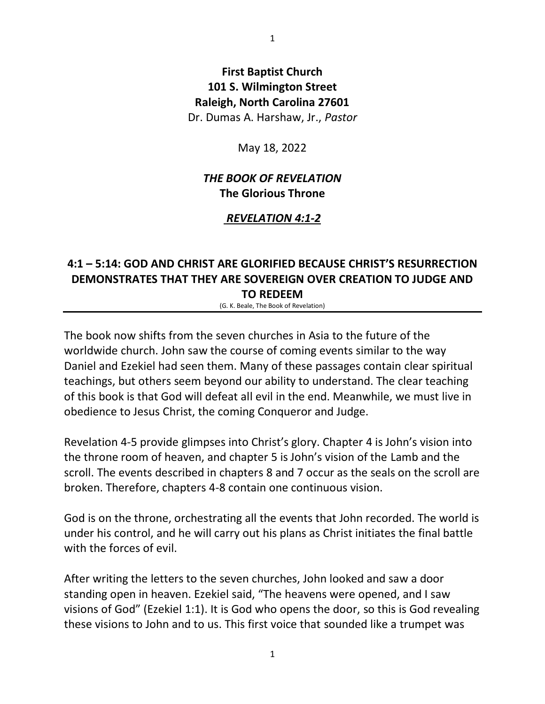# **First Baptist Church 101 S. Wilmington Street Raleigh, North Carolina 27601** Dr. Dumas A. Harshaw, Jr., *Pastor*

May 18, 2022

# *THE BOOK OF REVELATION* **The Glorious Throne**

## *REVELATION 4:1-2*

## **4:1 – 5:14: GOD AND CHRIST ARE GLORIFIED BECAUSE CHRIST'S RESURRECTION DEMONSTRATES THAT THEY ARE SOVEREIGN OVER CREATION TO JUDGE AND TO REDEEM**

(G. K. Beale, The Book of Revelation)

The book now shifts from the seven churches in Asia to the future of the worldwide church. John saw the course of coming events similar to the way Daniel and Ezekiel had seen them. Many of these passages contain clear spiritual teachings, but others seem beyond our ability to understand. The clear teaching of this book is that God will defeat all evil in the end. Meanwhile, we must live in obedience to Jesus Christ, the coming Conqueror and Judge.

Revelation 4-5 provide glimpses into Christ's glory. Chapter 4 is John's vision into the throne room of heaven, and chapter 5 is John's vision of the Lamb and the scroll. The events described in chapters 8 and 7 occur as the seals on the scroll are broken. Therefore, chapters 4-8 contain one continuous vision.

God is on the throne, orchestrating all the events that John recorded. The world is under his control, and he will carry out his plans as Christ initiates the final battle with the forces of evil.

After writing the letters to the seven churches, John looked and saw a door standing open in heaven. Ezekiel said, "The heavens were opened, and I saw visions of God" (Ezekiel 1:1). It is God who opens the door, so this is God revealing these visions to John and to us. This first voice that sounded like a trumpet was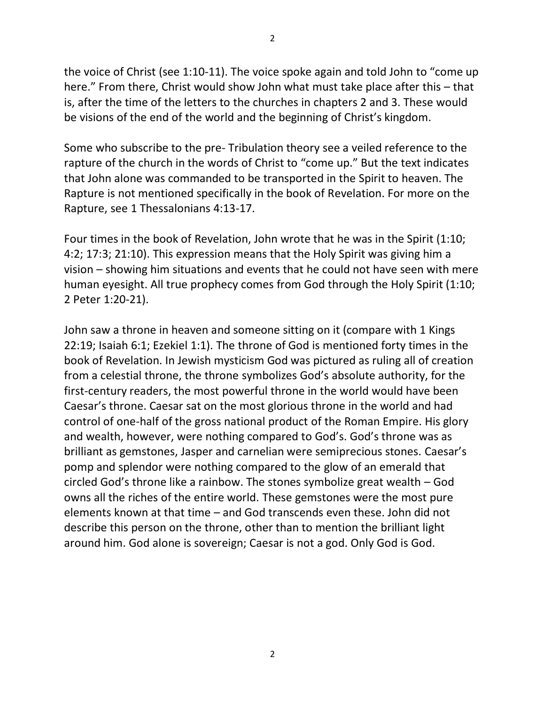the voice of Christ (see 1:10-11). The voice spoke again and told John to "come up here." From there, Christ would show John what must take place after this – that is, after the time of the letters to the churches in chapters 2 and 3. These would be visions of the end of the world and the beginning of Christ's kingdom.

Some who subscribe to the pre- Tribulation theory see a veiled reference to the rapture of the church in the words of Christ to "come up." But the text indicates that John alone was commanded to be transported in the Spirit to heaven. The Rapture is not mentioned specifically in the book of Revelation. For more on the Rapture, see 1 Thessalonians 4:13-17.

Four times in the book of Revelation, John wrote that he was in the Spirit (1:10; 4:2; 17:3; 21:10). This expression means that the Holy Spirit was giving him a vision – showing him situations and events that he could not have seen with mere human eyesight. All true prophecy comes from God through the Holy Spirit (1:10; 2 Peter 1:20-21).

John saw a throne in heaven and someone sitting on it (compare with 1 Kings 22:19; Isaiah 6:1; Ezekiel 1:1). The throne of God is mentioned forty times in the book of Revelation. In Jewish mysticism God was pictured as ruling all of creation from a celestial throne, the throne symbolizes God's absolute authority, for the first-century readers, the most powerful throne in the world would have been Caesar's throne. Caesar sat on the most glorious throne in the world and had control of one-half of the gross national product of the Roman Empire. His glory and wealth, however, were nothing compared to God's. God's throne was as brilliant as gemstones, Jasper and carnelian were semiprecious stones. Caesar's pomp and splendor were nothing compared to the glow of an emerald that circled God's throne like a rainbow. The stones symbolize great wealth – God owns all the riches of the entire world. These gemstones were the most pure elements known at that time – and God transcends even these. John did not describe this person on the throne, other than to mention the brilliant light around him. God alone is sovereign; Caesar is not a god. Only God is God.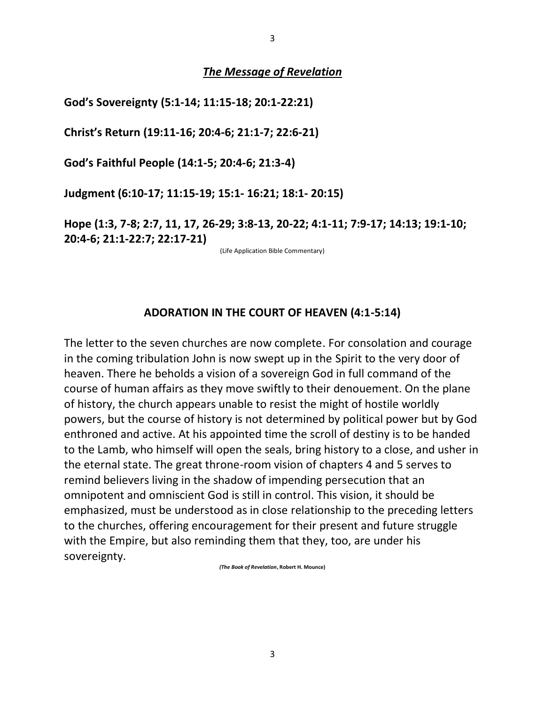#### *The Message of Revelation*

**God's Sovereignty (5:1-14; 11:15-18; 20:1-22:21)**

**Christ's Return (19:11-16; 20:4-6; 21:1-7; 22:6-21)**

**God's Faithful People (14:1-5; 20:4-6; 21:3-4)**

**Judgment (6:10-17; 11:15-19; 15:1- 16:21; 18:1- 20:15)**

**Hope (1:3, 7-8; 2:7, 11, 17, 26-29; 3:8-13, 20-22; 4:1-11; 7:9-17; 14:13; 19:1-10; 20:4-6; 21:1-22:7; 22:17-21)**

(Life Application Bible Commentary)

### **ADORATION IN THE COURT OF HEAVEN (4:1-5:14)**

The letter to the seven churches are now complete. For consolation and courage in the coming tribulation John is now swept up in the Spirit to the very door of heaven. There he beholds a vision of a sovereign God in full command of the course of human affairs as they move swiftly to their denouement. On the plane of history, the church appears unable to resist the might of hostile worldly powers, but the course of history is not determined by political power but by God enthroned and active. At his appointed time the scroll of destiny is to be handed to the Lamb, who himself will open the seals, bring history to a close, and usher in the eternal state. The great throne-room vision of chapters 4 and 5 serves to remind believers living in the shadow of impending persecution that an omnipotent and omniscient God is still in control. This vision, it should be emphasized, must be understood as in close relationship to the preceding letters to the churches, offering encouragement for their present and future struggle with the Empire, but also reminding them that they, too, are under his sovereignty.

*(The Book of Revelation***, Robert H. Mounce)**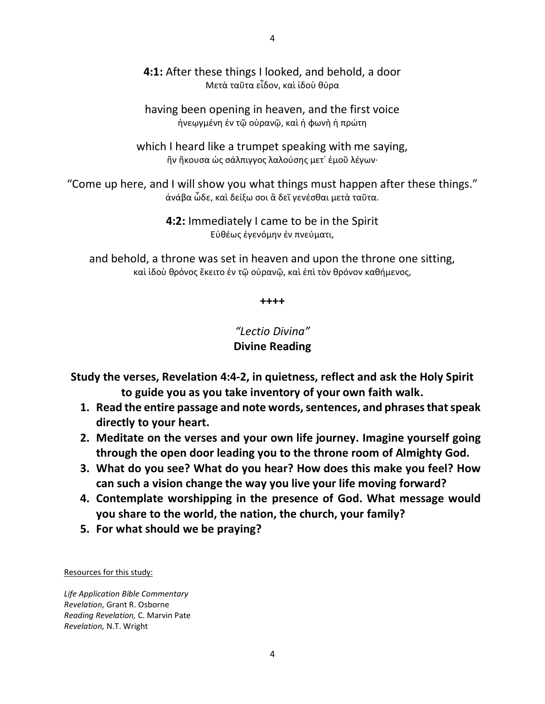**4:1:** After these things I looked, and behold, a door Μετὰ ταῦτα εἶδον, καὶ ἰδοὺ θύρα

having been opening in heaven, and the first voice ἠνεῳγμένη ἐν τῷ οὐρανῷ, καὶ ἡ φωνὴ ἡ πρώτη

which I heard like a trumpet speaking with me saying, ἣν ἤκουσα ὡς σάλπιγγος λαλούσης μετ᾽ ἐμοῦ λέγων·

"Come up here, and I will show you what things must happen after these things." ἀνάβα ὧδε, καὶ δείξω σοι ἃ δεῖ γενέσθαι μετὰ ταῦτα.

> **4:2:** Immediately I came to be in the Spirit Εὐθέως ἐγενόμην ἐν πνεύματι,

and behold, a throne was set in heaven and upon the throne one sitting, καὶ ἰδοὺ θρόνος ἔκειτο ἐν τῷ οὐρανῷ, καὶ ἐπὶ τὸν θρόνον καθήμενος,

**++++**

*"Lectio Divina"* **Divine Reading**

**Study the verses, Revelation 4:4-2, in quietness, reflect and ask the Holy Spirit to guide you as you take inventory of your own faith walk.**

- **1. Read the entire passage and note words, sentences, and phrasesthat speak directly to your heart.**
- **2. Meditate on the verses and your own life journey. Imagine yourself going through the open door leading you to the throne room of Almighty God.**
- **3. What do you see? What do you hear? How does this make you feel? How can such a vision change the way you live your life moving forward?**
- **4. Contemplate worshipping in the presence of God. What message would you share to the world, the nation, the church, your family?**
- **5. For what should we be praying?**

Resources for this study:

*Life Application Bible Commentary Revelation,* Grant R. Osborne *Reading Revelation,* C. Marvin Pate *Revelation,* N.T. Wright